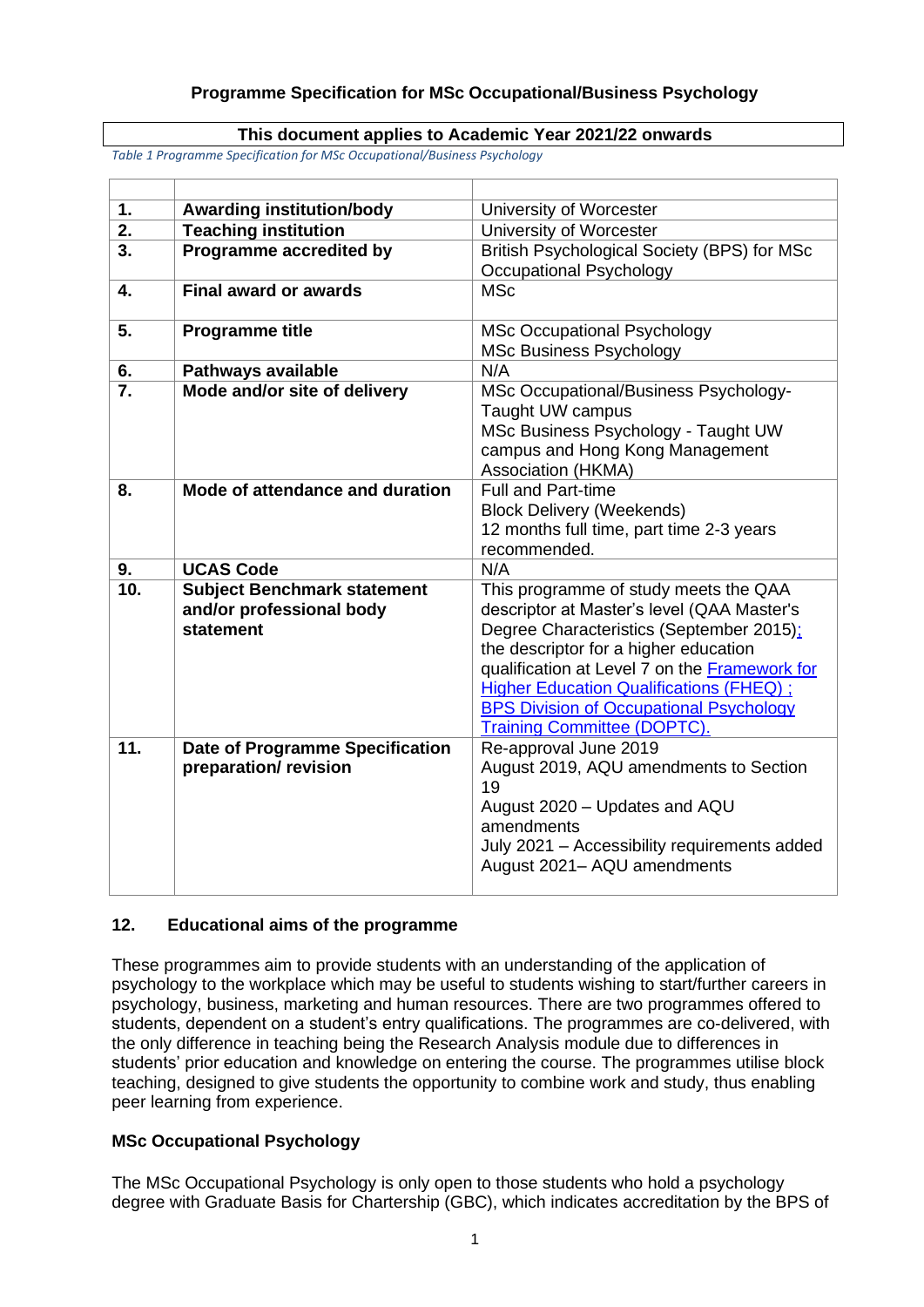# **This document applies to Academic Year 2021/22 onwards**

*Table 1 Programme Specification for MSc Occupational/Business Psychology*

| $\mathbf{1}$ .   | <b>Awarding institution/body</b>                                | University of Worcester                                         |  |
|------------------|-----------------------------------------------------------------|-----------------------------------------------------------------|--|
| $\overline{2}$ . | <b>Teaching institution</b>                                     | University of Worcester                                         |  |
| 3.               | Programme accredited by                                         | British Psychological Society (BPS) for MSc                     |  |
|                  |                                                                 | <b>Occupational Psychology</b>                                  |  |
| 4.               | <b>Final award or awards</b>                                    | <b>MSc</b>                                                      |  |
|                  |                                                                 |                                                                 |  |
| 5.               | <b>Programme title</b>                                          | <b>MSc Occupational Psychology</b>                              |  |
|                  |                                                                 | <b>MSc Business Psychology</b>                                  |  |
| 6.               | <b>Pathways available</b>                                       | N/A                                                             |  |
| $\overline{7}$ . | Mode and/or site of delivery                                    | MSc Occupational/Business Psychology-                           |  |
|                  |                                                                 | Taught UW campus                                                |  |
|                  |                                                                 | MSc Business Psychology - Taught UW                             |  |
|                  |                                                                 | campus and Hong Kong Management                                 |  |
| 8.               | Mode of attendance and duration                                 | Association (HKMA)<br><b>Full and Part-time</b>                 |  |
|                  |                                                                 | <b>Block Delivery (Weekends)</b>                                |  |
|                  |                                                                 | 12 months full time, part time 2-3 years                        |  |
|                  |                                                                 | recommended.                                                    |  |
| 9.               | <b>UCAS Code</b>                                                | N/A                                                             |  |
|                  |                                                                 |                                                                 |  |
|                  |                                                                 |                                                                 |  |
| 10.              | <b>Subject Benchmark statement</b>                              | This programme of study meets the QAA                           |  |
|                  | and/or professional body                                        | descriptor at Master's level (QAA Master's                      |  |
|                  | statement                                                       | Degree Characteristics (September 2015);                        |  |
|                  |                                                                 | the descriptor for a higher education                           |  |
|                  |                                                                 | qualification at Level 7 on the Framework for                   |  |
|                  |                                                                 | <b>Higher Education Qualifications (FHEQ) ;</b>                 |  |
|                  |                                                                 | <b>BPS Division of Occupational Psychology</b>                  |  |
| 11.              |                                                                 | <b>Training Committee (DOPTC).</b>                              |  |
|                  | <b>Date of Programme Specification</b><br>preparation/ revision | Re-approval June 2019<br>August 2019, AQU amendments to Section |  |
|                  |                                                                 | 19                                                              |  |
|                  |                                                                 | August 2020 - Updates and AQU                                   |  |
|                  |                                                                 | amendments                                                      |  |
|                  |                                                                 | July 2021 - Accessibility requirements added                    |  |
|                  |                                                                 | August 2021- AQU amendments                                     |  |

# **12. Educational aims of the programme**

These programmes aim to provide students with an understanding of the application of psychology to the workplace which may be useful to students wishing to start/further careers in psychology, business, marketing and human resources. There are two programmes offered to students, dependent on a student's entry qualifications. The programmes are co-delivered, with the only difference in teaching being the Research Analysis module due to differences in students' prior education and knowledge on entering the course. The programmes utilise block teaching, designed to give students the opportunity to combine work and study, thus enabling peer learning from experience.

# **MSc Occupational Psychology**

The MSc Occupational Psychology is only open to those students who hold a psychology degree with Graduate Basis for Chartership (GBC), which indicates accreditation by the BPS of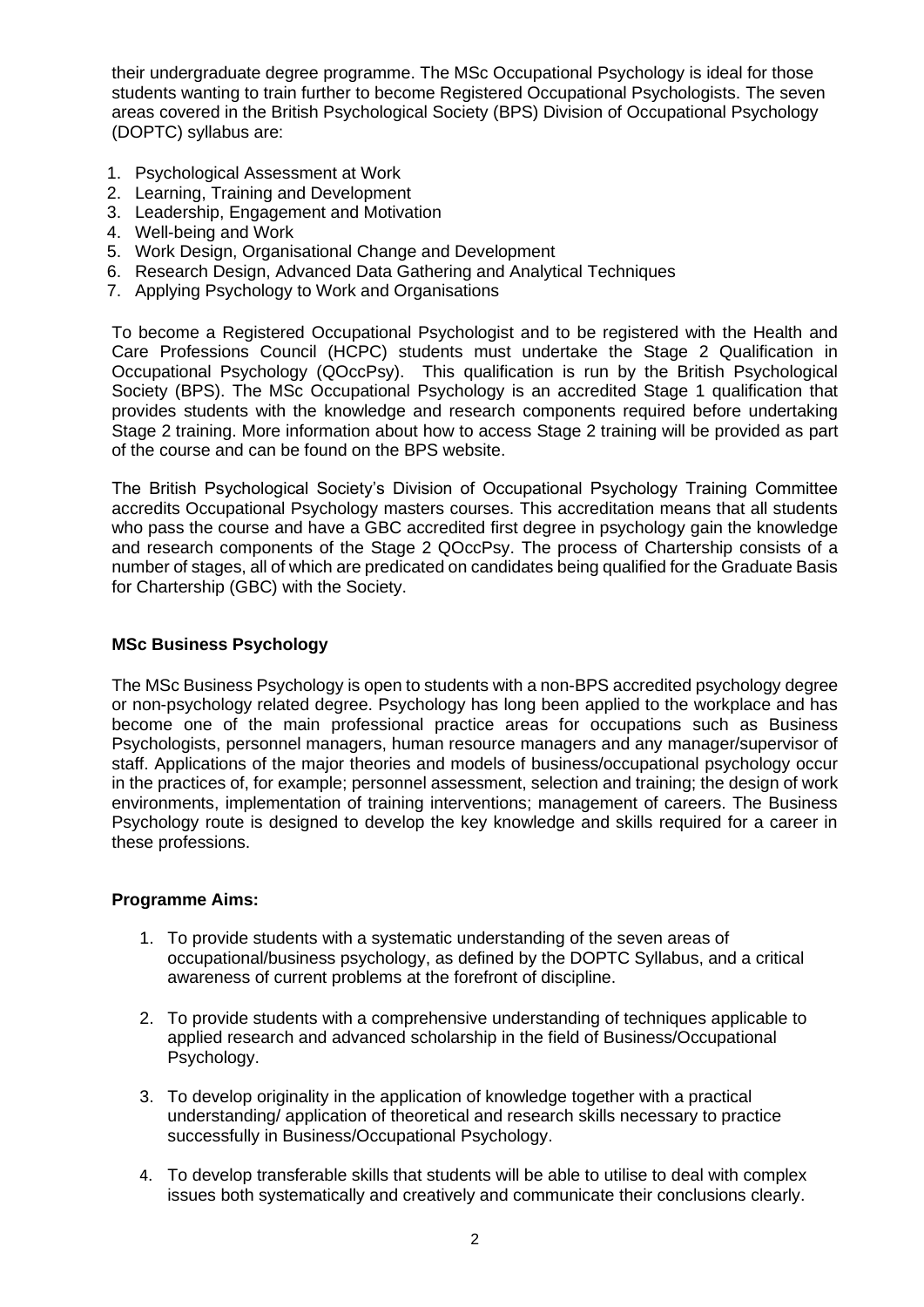their undergraduate degree programme. The MSc Occupational Psychology is ideal for those students wanting to train further to become Registered Occupational Psychologists. The seven areas covered in the British Psychological Society (BPS) Division of Occupational Psychology (DOPTC) syllabus are:

- 1. Psychological Assessment at Work
- 2. Learning, Training and Development
- 3. Leadership, Engagement and Motivation
- 4. Well-being and Work
- 5. Work Design, Organisational Change and Development
- 6. Research Design, Advanced Data Gathering and Analytical Techniques
- 7. Applying Psychology to Work and Organisations

To become a Registered Occupational Psychologist and to be registered with the Health and Care Professions Council (HCPC) students must undertake the Stage 2 Qualification in Occupational Psychology (QOccPsy). This qualification is run by the British Psychological Society (BPS). The MSc Occupational Psychology is an accredited Stage 1 qualification that provides students with the knowledge and research components required before undertaking Stage 2 training. More information about how to access Stage 2 training will be provided as part of the course and can be found on the BPS website.

The British Psychological Society's Division of Occupational Psychology Training Committee accredits Occupational Psychology masters courses. This accreditation means that all students who pass the course and have a GBC accredited first degree in psychology gain the knowledge and research components of the Stage 2 QOccPsy. The process of Chartership consists of a number of stages, all of which are predicated on candidates being qualified for the Graduate Basis for Chartership (GBC) with the Society.

# **MSc Business Psychology**

The MSc Business Psychology is open to students with a non-BPS accredited psychology degree or non-psychology related degree. Psychology has long been applied to the workplace and has become one of the main professional practice areas for occupations such as Business Psychologists, personnel managers, human resource managers and any manager/supervisor of staff. Applications of the major theories and models of business/occupational psychology occur in the practices of, for example; personnel assessment, selection and training; the design of work environments, implementation of training interventions; management of careers. The Business Psychology route is designed to develop the key knowledge and skills required for a career in these professions.

# **Programme Aims:**

- 1. To provide students with a systematic understanding of the seven areas of occupational/business psychology, as defined by the DOPTC Syllabus, and a critical awareness of current problems at the forefront of discipline.
- 2. To provide students with a comprehensive understanding of techniques applicable to applied research and advanced scholarship in the field of Business/Occupational Psychology.
- 3. To develop originality in the application of knowledge together with a practical understanding/ application of theoretical and research skills necessary to practice successfully in Business/Occupational Psychology.
- 4. To develop transferable skills that students will be able to utilise to deal with complex issues both systematically and creatively and communicate their conclusions clearly.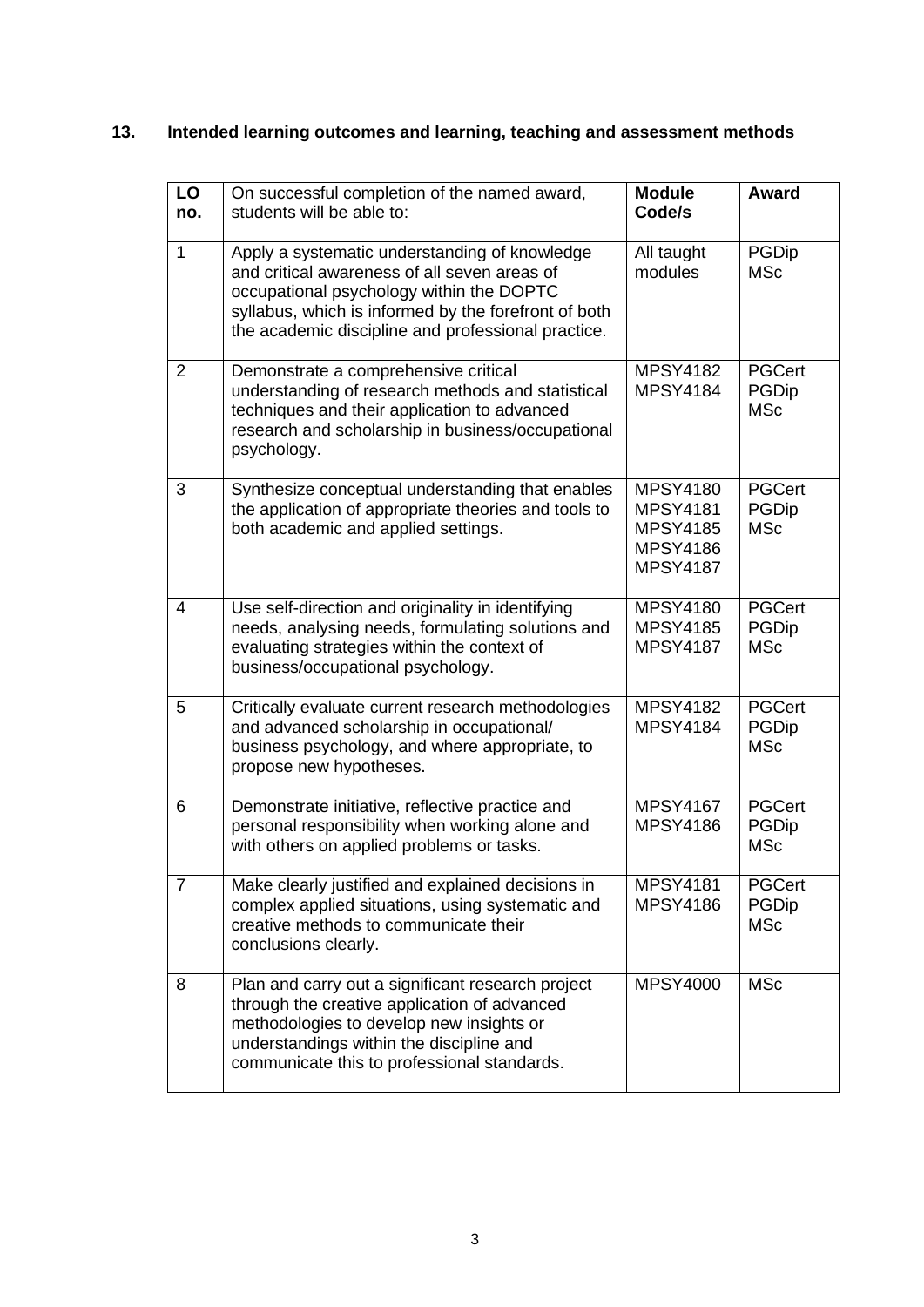# **13. Intended learning outcomes and learning, teaching and assessment methods**

| LO<br>no.      | On successful completion of the named award,<br>students will be able to:                                                                                                                                                                               | <b>Module</b><br>Code/s                                                                     | Award                                       |
|----------------|---------------------------------------------------------------------------------------------------------------------------------------------------------------------------------------------------------------------------------------------------------|---------------------------------------------------------------------------------------------|---------------------------------------------|
| $\mathbf{1}$   | Apply a systematic understanding of knowledge<br>and critical awareness of all seven areas of<br>occupational psychology within the DOPTC<br>syllabus, which is informed by the forefront of both<br>the academic discipline and professional practice. | All taught<br>modules                                                                       | <b>PGDip</b><br><b>MSc</b>                  |
| 2              | Demonstrate a comprehensive critical<br>understanding of research methods and statistical<br>techniques and their application to advanced<br>research and scholarship in business/occupational<br>psychology.                                           | <b>MPSY4182</b><br><b>MPSY4184</b>                                                          | <b>PGCert</b><br><b>PGDip</b><br><b>MSc</b> |
| 3              | Synthesize conceptual understanding that enables<br>the application of appropriate theories and tools to<br>both academic and applied settings.                                                                                                         | <b>MPSY4180</b><br><b>MPSY4181</b><br><b>MPSY4185</b><br><b>MPSY4186</b><br><b>MPSY4187</b> | <b>PGCert</b><br><b>PGDip</b><br><b>MSc</b> |
| 4              | Use self-direction and originality in identifying<br>needs, analysing needs, formulating solutions and<br>evaluating strategies within the context of<br>business/occupational psychology.                                                              | <b>MPSY4180</b><br><b>MPSY4185</b><br><b>MPSY4187</b>                                       | <b>PGCert</b><br><b>PGDip</b><br><b>MSc</b> |
| 5              | Critically evaluate current research methodologies<br>and advanced scholarship in occupational/<br>business psychology, and where appropriate, to<br>propose new hypotheses.                                                                            | <b>MPSY4182</b><br><b>MPSY4184</b>                                                          | <b>PGCert</b><br><b>PGDip</b><br><b>MSc</b> |
| 6              | Demonstrate initiative, reflective practice and<br>personal responsibility when working alone and<br>with others on applied problems or tasks.                                                                                                          | <b>MPSY4167</b><br><b>MPSY4186</b>                                                          | <b>PGCert</b><br><b>PGDip</b><br><b>MSc</b> |
| $\overline{7}$ | Make clearly justified and explained decisions in<br>complex applied situations, using systematic and<br>creative methods to communicate their<br>conclusions clearly.                                                                                  | <b>MPSY4181</b><br><b>MPSY4186</b>                                                          | <b>PGCert</b><br><b>PGDip</b><br><b>MSc</b> |
| 8              | Plan and carry out a significant research project<br>through the creative application of advanced<br>methodologies to develop new insights or<br>understandings within the discipline and<br>communicate this to professional standards.                | <b>MPSY4000</b>                                                                             | <b>MSc</b>                                  |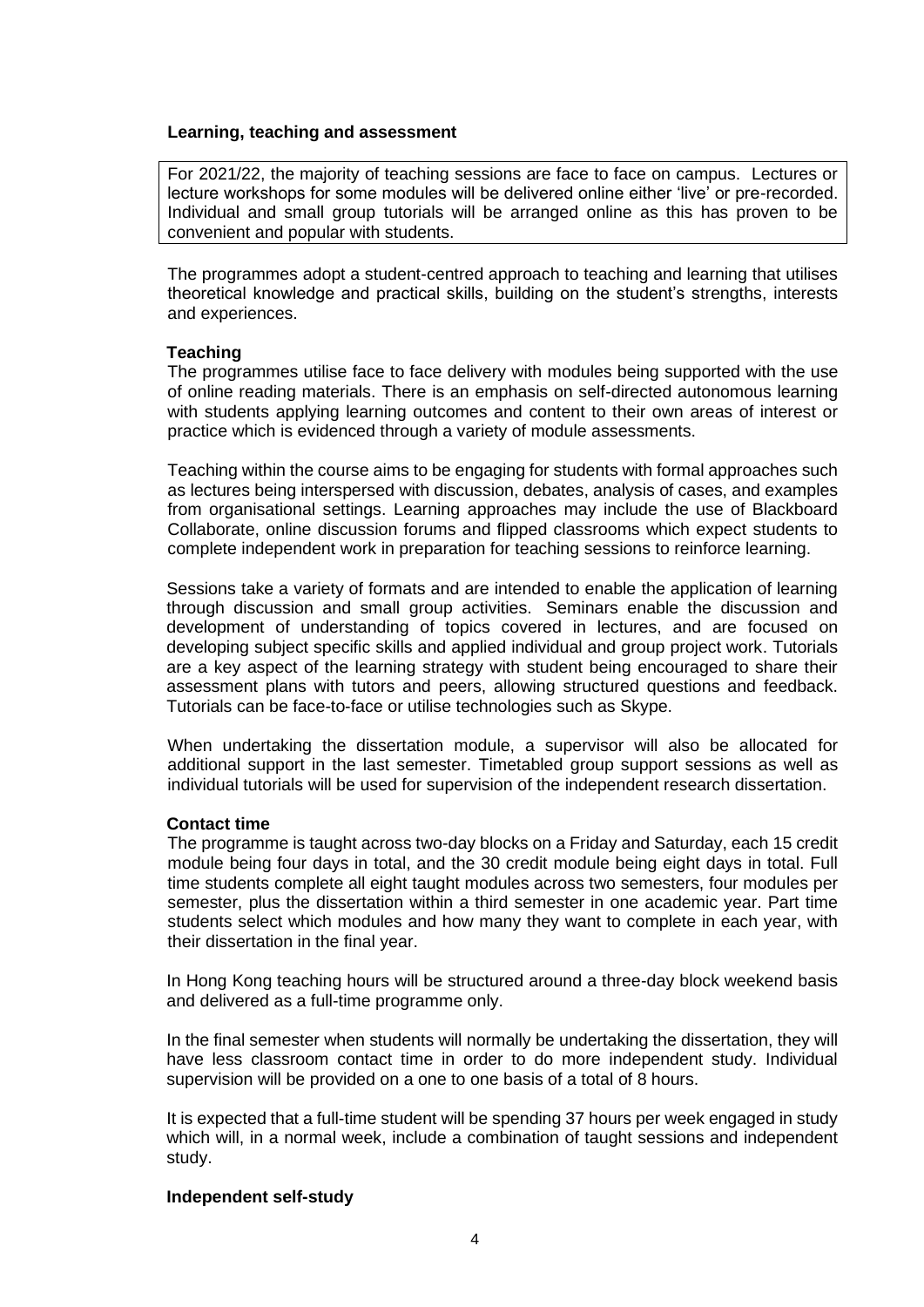## **Learning, teaching and assessment**

For 2021/22, the majority of teaching sessions are face to face on campus. Lectures or lecture workshops for some modules will be delivered online either 'live' or pre-recorded. Individual and small group tutorials will be arranged online as this has proven to be convenient and popular with students.

The programmes adopt a student-centred approach to teaching and learning that utilises theoretical knowledge and practical skills, building on the student's strengths, interests and experiences.

## **Teaching**

The programmes utilise face to face delivery with modules being supported with the use of online reading materials. There is an emphasis on self-directed autonomous learning with students applying learning outcomes and content to their own areas of interest or practice which is evidenced through a variety of module assessments.

Teaching within the course aims to be engaging for students with formal approaches such as lectures being interspersed with discussion, debates, analysis of cases, and examples from organisational settings. Learning approaches may include the use of Blackboard Collaborate, online discussion forums and flipped classrooms which expect students to complete independent work in preparation for teaching sessions to reinforce learning.

Sessions take a variety of formats and are intended to enable the application of learning through discussion and small group activities. Seminars enable the discussion and development of understanding of topics covered in lectures, and are focused on developing subject specific skills and applied individual and group project work. Tutorials are a key aspect of the learning strategy with student being encouraged to share their assessment plans with tutors and peers, allowing structured questions and feedback. Tutorials can be face-to-face or utilise technologies such as Skype.

When undertaking the dissertation module, a supervisor will also be allocated for additional support in the last semester. Timetabled group support sessions as well as individual tutorials will be used for supervision of the independent research dissertation.

## **Contact time**

The programme is taught across two-day blocks on a Friday and Saturday, each 15 credit module being four days in total, and the 30 credit module being eight days in total. Full time students complete all eight taught modules across two semesters, four modules per semester, plus the dissertation within a third semester in one academic year. Part time students select which modules and how many they want to complete in each year, with their dissertation in the final year.

In Hong Kong teaching hours will be structured around a three-day block weekend basis and delivered as a full-time programme only.

In the final semester when students will normally be undertaking the dissertation, they will have less classroom contact time in order to do more independent study. Individual supervision will be provided on a one to one basis of a total of 8 hours.

It is expected that a full-time student will be spending 37 hours per week engaged in study which will, in a normal week, include a combination of taught sessions and independent study.

## **Independent self-study**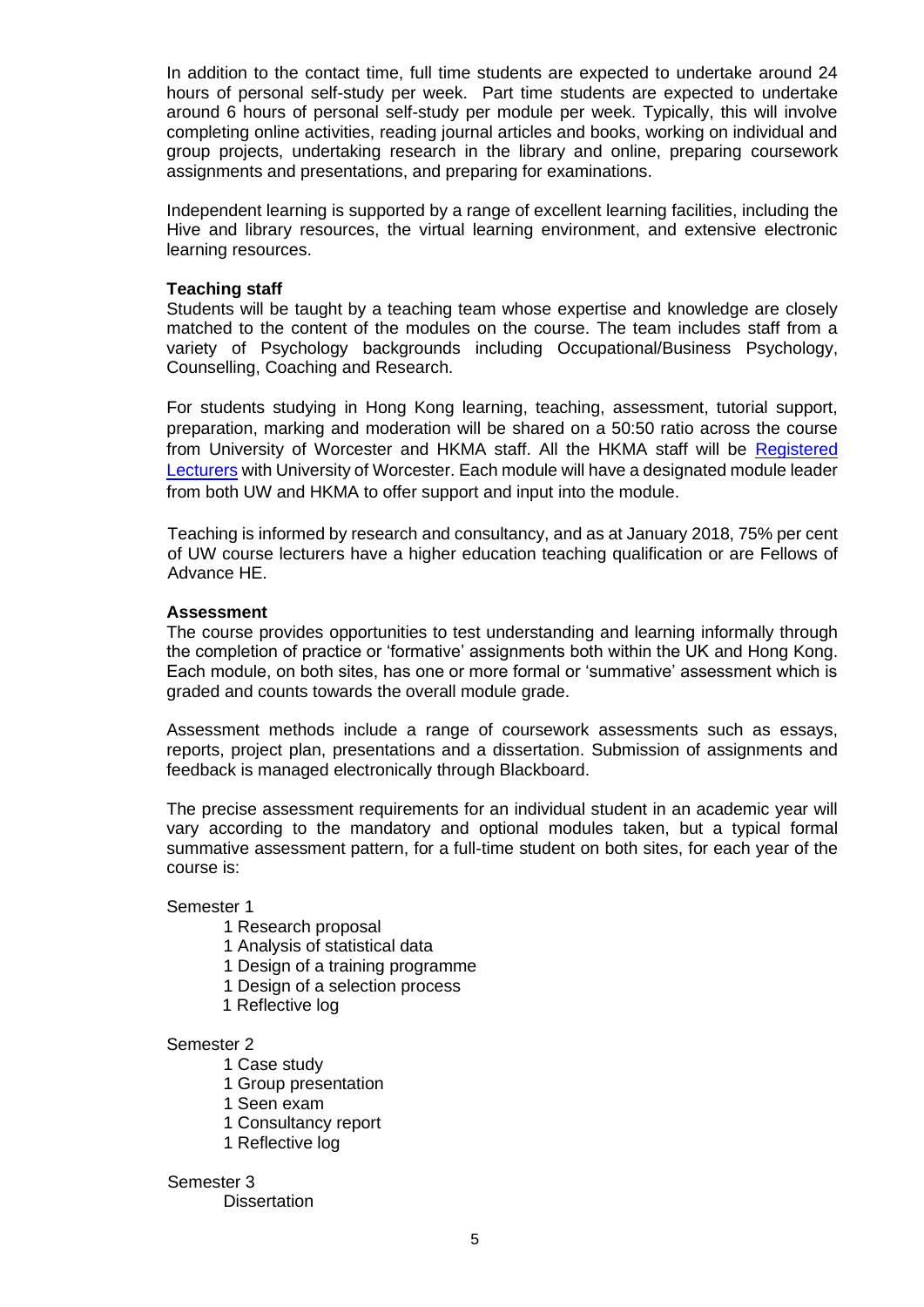In addition to the contact time, full time students are expected to undertake around 24 hours of personal self-study per week. Part time students are expected to undertake around 6 hours of personal self-study per module per week. Typically, this will involve completing online activities, reading journal articles and books, working on individual and group projects, undertaking research in the library and online, preparing coursework assignments and presentations, and preparing for examinations.

Independent learning is supported by a range of excellent learning facilities, including the Hive and library resources, the virtual learning environment, and extensive electronic learning resources.

## **Teaching staff**

Students will be taught by a teaching team whose expertise and knowledge are closely matched to the content of the modules on the course. The team includes staff from a variety of Psychology backgrounds including Occupational/Business Psychology, Counselling, Coaching and Research.

For students studying in Hong Kong learning, teaching, assessment, tutorial support, preparation, marking and moderation will be shared on a 50:50 ratio across the course from University of Worcester and HKMA staff. All the HKMA staff will be Registered [Lecturers](http://www.worc.ac.uk/partners/655.htm) with University of Worcester. Each module will have a designated module leader from both UW and HKMA to offer support and input into the module.

Teaching is informed by research and consultancy, and as at January 2018, 75% per cent of UW course lecturers have a higher education teaching qualification or are Fellows of Advance HE.

## **Assessment**

The course provides opportunities to test understanding and learning informally through the completion of practice or 'formative' assignments both within the UK and Hong Kong. Each module, on both sites, has one or more formal or 'summative' assessment which is graded and counts towards the overall module grade.

Assessment methods include a range of coursework assessments such as essays, reports, project plan, presentations and a dissertation. Submission of assignments and feedback is managed electronically through Blackboard.

The precise assessment requirements for an individual student in an academic year will vary according to the mandatory and optional modules taken, but a typical formal summative assessment pattern, for a full-time student on both sites, for each year of the course is:

## Semester 1

- 1 Research proposal
- 1 Analysis of statistical data
- 1 Design of a training programme
- 1 Design of a selection process
- 1 Reflective log

## Semester 2

- 1 Case study
- 1 Group presentation
- 1 Seen exam
- 1 Consultancy report
- 1 Reflective log

## Semester 3

**Dissertation**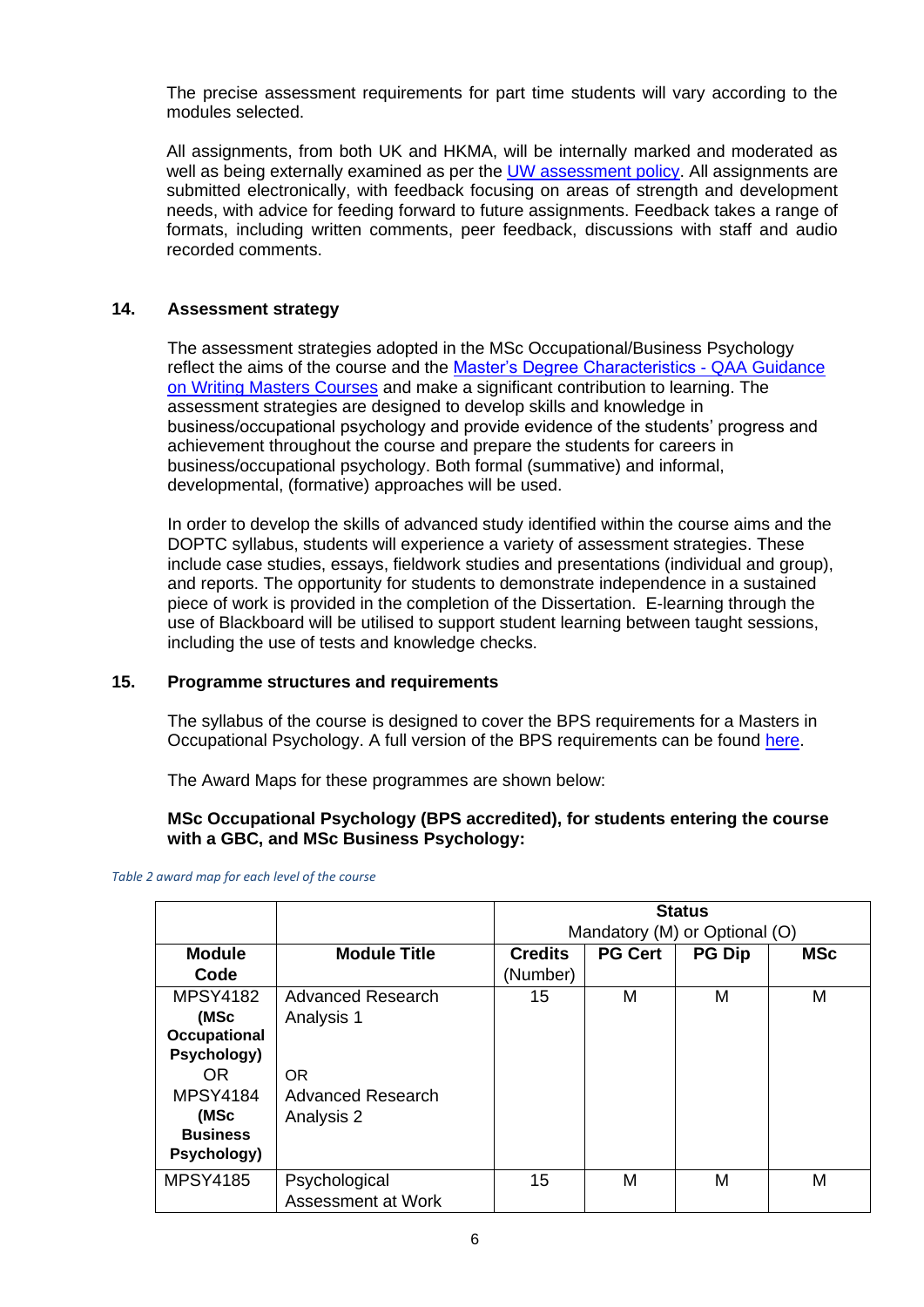The precise assessment requirements for part time students will vary according to the modules selected.

All assignments, from both UK and HKMA, will be internally marked and moderated as well as being externally examined as per the **UW** assessment policy. All assignments are submitted electronically, with feedback focusing on areas of strength and development needs, with advice for feeding forward to future assignments. Feedback takes a range of formats, including written comments, peer feedback, discussions with staff and audio recorded comments.

# **14. Assessment strategy**

The assessment strategies adopted in the MSc Occupational/Business Psychology reflect the aims of the course and the [Master's Degree Characteristics -](http://www.qaa.ac.uk/en/Publications/Documents/Masters-Degree-Characteristics-15.pdf) QAA Guidance [on Writing Masters Courses](http://www.qaa.ac.uk/en/Publications/Documents/Masters-Degree-Characteristics-15.pdf) and make a significant contribution to learning. The assessment strategies are designed to develop skills and knowledge in business/occupational psychology and provide evidence of the students' progress and achievement throughout the course and prepare the students for careers in business/occupational psychology. Both formal (summative) and informal, developmental, (formative) approaches will be used.

In order to develop the skills of advanced study identified within the course aims and the DOPTC syllabus, students will experience a variety of assessment strategies. These include case studies, essays, fieldwork studies and presentations (individual and group), and reports. The opportunity for students to demonstrate independence in a sustained piece of work is provided in the completion of the Dissertation. E-learning through the use of Blackboard will be utilised to support student learning between taught sessions, including the use of tests and knowledge checks.

# **15. Programme structures and requirements**

The syllabus of the course is designed to cover the BPS requirements for a Masters in Occupational Psychology. A full version of the BPS requirements can be found [here.](http://www.bps.org.uk/system/files/Public%20files/PaCT/occupational_accreditation_2015_web.pdf)

The Award Maps for these programmes are shown below:

# **MSc Occupational Psychology (BPS accredited), for students entering the course with a GBC, and MSc Business Psychology:**

|                     |                          |                | <b>Status</b><br>Mandatory (M) or Optional (O) |               |            |
|---------------------|--------------------------|----------------|------------------------------------------------|---------------|------------|
| <b>Module</b>       | <b>Module Title</b>      | <b>Credits</b> | <b>PG Cert</b>                                 | <b>PG Dip</b> | <b>MSc</b> |
| Code                |                          | (Number)       |                                                |               |            |
| <b>MPSY4182</b>     | <b>Advanced Research</b> | 15             | M                                              | M             | M          |
| (MSc                | Analysis 1               |                |                                                |               |            |
| <b>Occupational</b> |                          |                |                                                |               |            |
| Psychology)         |                          |                |                                                |               |            |
| OR.                 | <b>OR</b>                |                |                                                |               |            |
| <b>MPSY4184</b>     | Advanced Research        |                |                                                |               |            |
| (MSc                | Analysis 2               |                |                                                |               |            |
| <b>Business</b>     |                          |                |                                                |               |            |
| Psychology)         |                          |                |                                                |               |            |
| <b>MPSY4185</b>     | Psychological            | 15             | М                                              | M             | M          |
|                     | Assessment at Work       |                |                                                |               |            |

*Table 2 award map for each level of the course*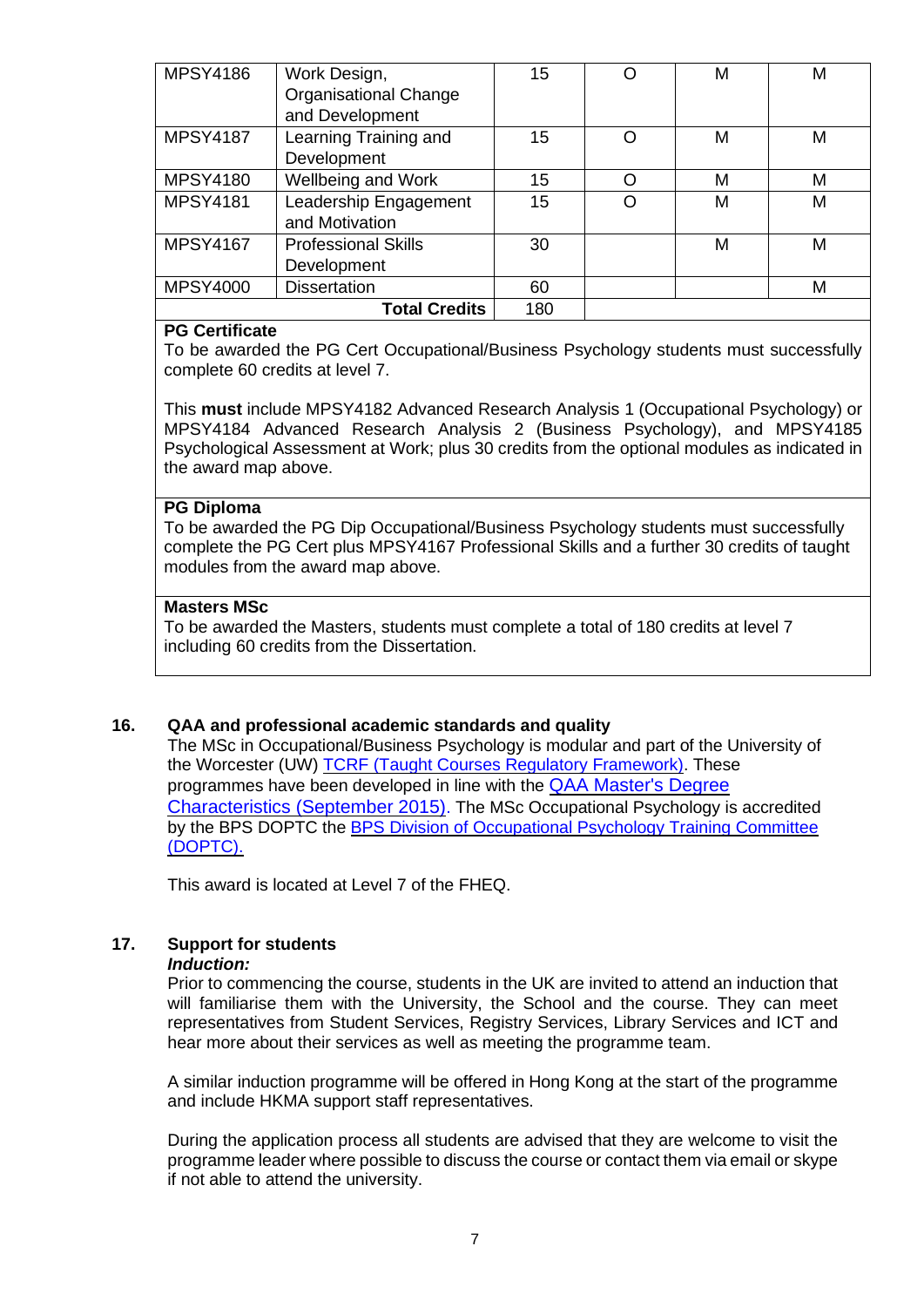| <b>MPSY4186</b> | Work Design,                 | 15  |   | M | М |
|-----------------|------------------------------|-----|---|---|---|
|                 | <b>Organisational Change</b> |     |   |   |   |
|                 | and Development              |     |   |   |   |
| <b>MPSY4187</b> | Learning Training and        | 15  | ∩ | M | M |
|                 | Development                  |     |   |   |   |
| <b>MPSY4180</b> | Wellbeing and Work           | 15  | ∩ | M | M |
| <b>MPSY4181</b> | Leadership Engagement        | 15  |   | М | М |
|                 | and Motivation               |     |   |   |   |
| <b>MPSY4167</b> | <b>Professional Skills</b>   | 30  |   | M | М |
|                 | Development                  |     |   |   |   |
| <b>MPSY4000</b> | <b>Dissertation</b>          | 60  |   |   | M |
|                 | <b>Total Credits</b>         | 180 |   |   |   |

# **PG Certificate**

To be awarded the PG Cert Occupational/Business Psychology students must successfully complete 60 credits at level 7.

This **must** include MPSY4182 Advanced Research Analysis 1 (Occupational Psychology) or MPSY4184 Advanced Research Analysis 2 (Business Psychology), and MPSY4185 Psychological Assessment at Work; plus 30 credits from the optional modules as indicated in the award map above.

## **PG Diploma**

To be awarded the PG Dip Occupational/Business Psychology students must successfully complete the PG Cert plus MPSY4167 Professional Skills and a further 30 credits of taught modules from the award map above.

# **Masters MSc**

To be awarded the Masters, students must complete a total of 180 credits at level 7 including 60 credits from the Dissertation.

# **16. QAA and professional academic standards and quality**

The MSc in Occupational/Business Psychology is modular and part of the University of the Worcester (UW) [TCRF \(Taught Courses Regulatory Framework\).](http://www.worcester.ac.uk/registryservices/documents/TaughtCoursesRegulatoryFramework.pdf) These programmes have been developed in line with the [QAA Master's Degree](http://www.qaa.ac.uk/docs/qaa/quality-code/master%27s-degree-characteristics-statement.pdf?sfvrsn=6ca2f981_10)  [Characteristics \(September 2015\)](http://www.qaa.ac.uk/docs/qaa/quality-code/master%27s-degree-characteristics-statement.pdf?sfvrsn=6ca2f981_10). The MSc Occupational Psychology is accredited by the BPS DOPTC the [BPS Division of Occupational Psychology Training Committee](http://www1.bps.org.uk/)  [\(DOPTC\).](http://www1.bps.org.uk/) 

This award is located at Level 7 of the FHEQ.

# **17. Support for students**

## *Induction:*

Prior to commencing the course, students in the UK are invited to attend an induction that will familiarise them with the University, the School and the course. They can meet representatives from Student Services, Registry Services, Library Services and ICT and hear more about their services as well as meeting the programme team.

A similar induction programme will be offered in Hong Kong at the start of the programme and include HKMA support staff representatives.

During the application process all students are advised that they are welcome to visit the programme leader where possible to discuss the course or contact them via email or skype if not able to attend the university.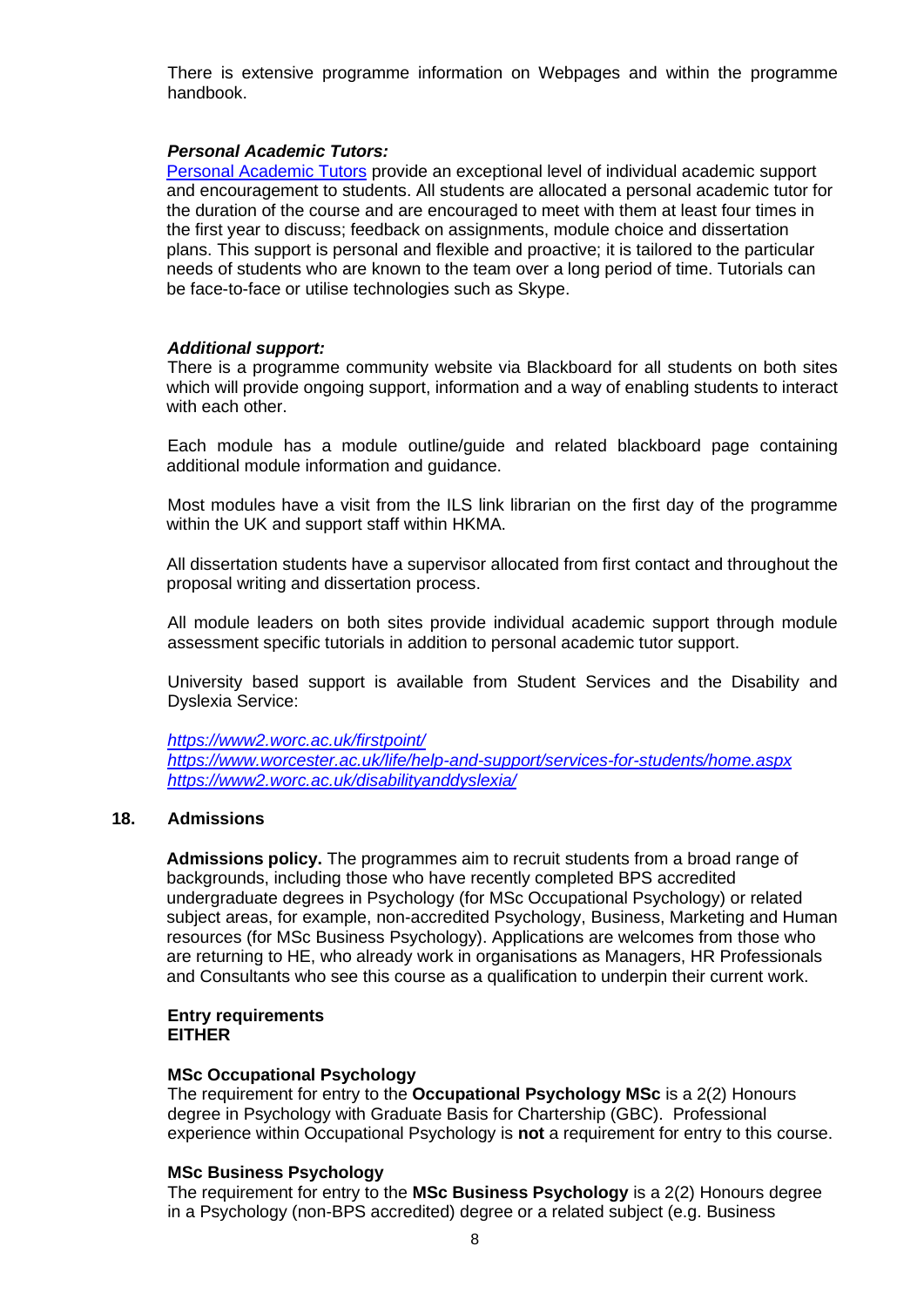There is extensive programme information on Webpages and within the programme handbook.

## *Personal Academic Tutors:*

[Personal Academic Tutors](https://www.worcester.ac.uk/life/help-and-support/personal-academic-tutoring.aspx) provide an exceptional level of individual academic support and encouragement to students. All students are allocated a personal academic tutor for the duration of the course and are encouraged to meet with them at least four times in the first year to discuss; feedback on assignments, module choice and dissertation plans. This support is personal and flexible and proactive; it is tailored to the particular needs of students who are known to the team over a long period of time. Tutorials can be face-to-face or utilise technologies such as Skype.

## *Additional support:*

There is a programme community website via Blackboard for all students on both sites which will provide ongoing support, information and a way of enabling students to interact with each other.

Each module has a module outline/guide and related blackboard page containing additional module information and guidance.

Most modules have a visit from the ILS link librarian on the first day of the programme within the UK and support staff within HKMA.

All dissertation students have a supervisor allocated from first contact and throughout the proposal writing and dissertation process.

All module leaders on both sites provide individual academic support through module assessment specific tutorials in addition to personal academic tutor support.

University based support is available from Student Services and the Disability and Dyslexia Service:

*<https://www2.worc.ac.uk/firstpoint/> <https://www.worcester.ac.uk/life/help-and-support/services-for-students/home.aspx> <https://www2.worc.ac.uk/disabilityanddyslexia/>*

## **18. Admissions**

**Admissions policy.** The programmes aim to recruit students from a broad range of backgrounds, including those who have recently completed BPS accredited undergraduate degrees in Psychology (for MSc Occupational Psychology) or related subject areas, for example, non-accredited Psychology, Business, Marketing and Human resources (for MSc Business Psychology). Applications are welcomes from those who are returning to HE, who already work in organisations as Managers, HR Professionals and Consultants who see this course as a qualification to underpin their current work.

## **Entry requirements EITHER**

## **MSc Occupational Psychology**

The requirement for entry to the **Occupational Psychology MSc** is a 2(2) Honours degree in Psychology with Graduate Basis for Chartership (GBC). Professional experience within Occupational Psychology is **not** a requirement for entry to this course.

## **MSc Business Psychology**

The requirement for entry to the **MSc Business Psychology** is a 2(2) Honours degree in a Psychology (non-BPS accredited) degree or a related subject (e.g. Business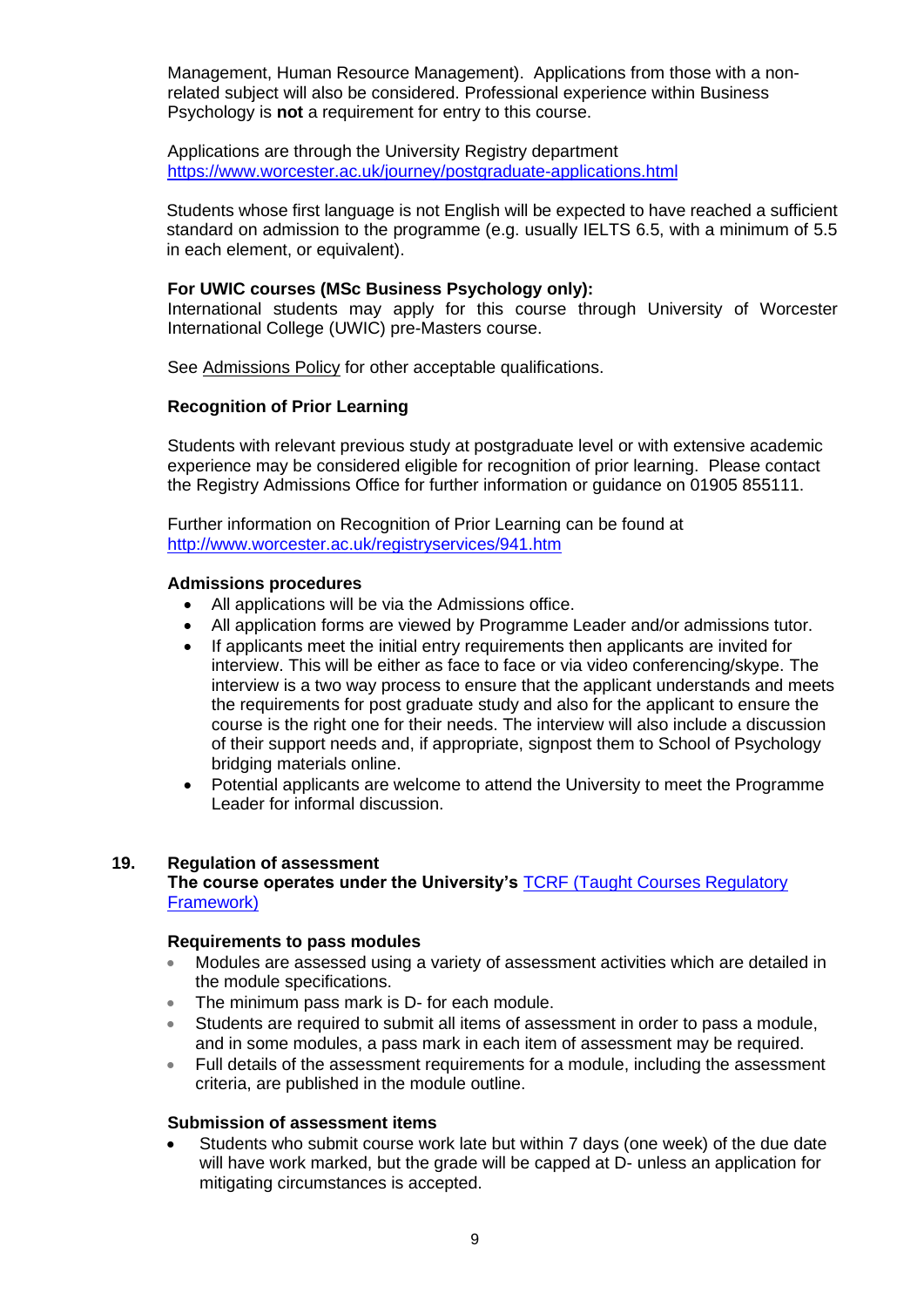Management, Human Resource Management). Applications from those with a nonrelated subject will also be considered. Professional experience within Business Psychology is **not** a requirement for entry to this course.

Applications are through the University Registry department <https://www.worcester.ac.uk/journey/postgraduate-applications.html>

Students whose first language is not English will be expected to have reached a sufficient standard on admission to the programme (e.g. usually IELTS 6.5, with a minimum of 5.5 in each element, or equivalent).

## **For UWIC courses (MSc Business Psychology only):**

International students may apply for this course through University of Worcester International College (UWIC) pre-Masters course.

See [Admissions Policy](http://www.worcester.ac.uk/registryservices/documents/AdmissionsPolicy.pdf) for other acceptable qualifications.

# **Recognition of Prior Learning**

Students with relevant previous study at postgraduate level or with extensive academic experience may be considered eligible for recognition of prior learning. Please contact the Registry Admissions Office for further information or guidance on 01905 855111.

Further information on Recognition of Prior Learning can be found at <http://www.worcester.ac.uk/registryservices/941.htm>

## **Admissions procedures**

- All applications will be via the Admissions office.
- All application forms are viewed by Programme Leader and/or admissions tutor.
- If applicants meet the initial entry requirements then applicants are invited for interview. This will be either as face to face or via video conferencing/skype. The interview is a two way process to ensure that the applicant understands and meets the requirements for post graduate study and also for the applicant to ensure the course is the right one for their needs. The interview will also include a discussion of their support needs and, if appropriate, signpost them to School of Psychology bridging materials online.
- Potential applicants are welcome to attend the University to meet the Programme Leader for informal discussion.

## **19. Regulation of assessment**

## **The course operates under the University's** [TCRF \(Taught Courses Regulatory](http://www.worcester.ac.uk/registryservices/documents/TaughtCoursesRegulatoryFramework.pdf)  [Framework\)](http://www.worcester.ac.uk/registryservices/documents/TaughtCoursesRegulatoryFramework.pdf)

## **Requirements to pass modules**

- Modules are assessed using a variety of assessment activities which are detailed in the module specifications.
- The minimum pass mark is D- for each module.
- Students are required to submit all items of assessment in order to pass a module, and in some modules, a pass mark in each item of assessment may be required.
- Full details of the assessment requirements for a module, including the assessment criteria, are published in the module outline.

## **Submission of assessment items**

• Students who submit course work late but within 7 days (one week) of the due date will have work marked, but the grade will be capped at D- unless an application for mitigating circumstances is accepted.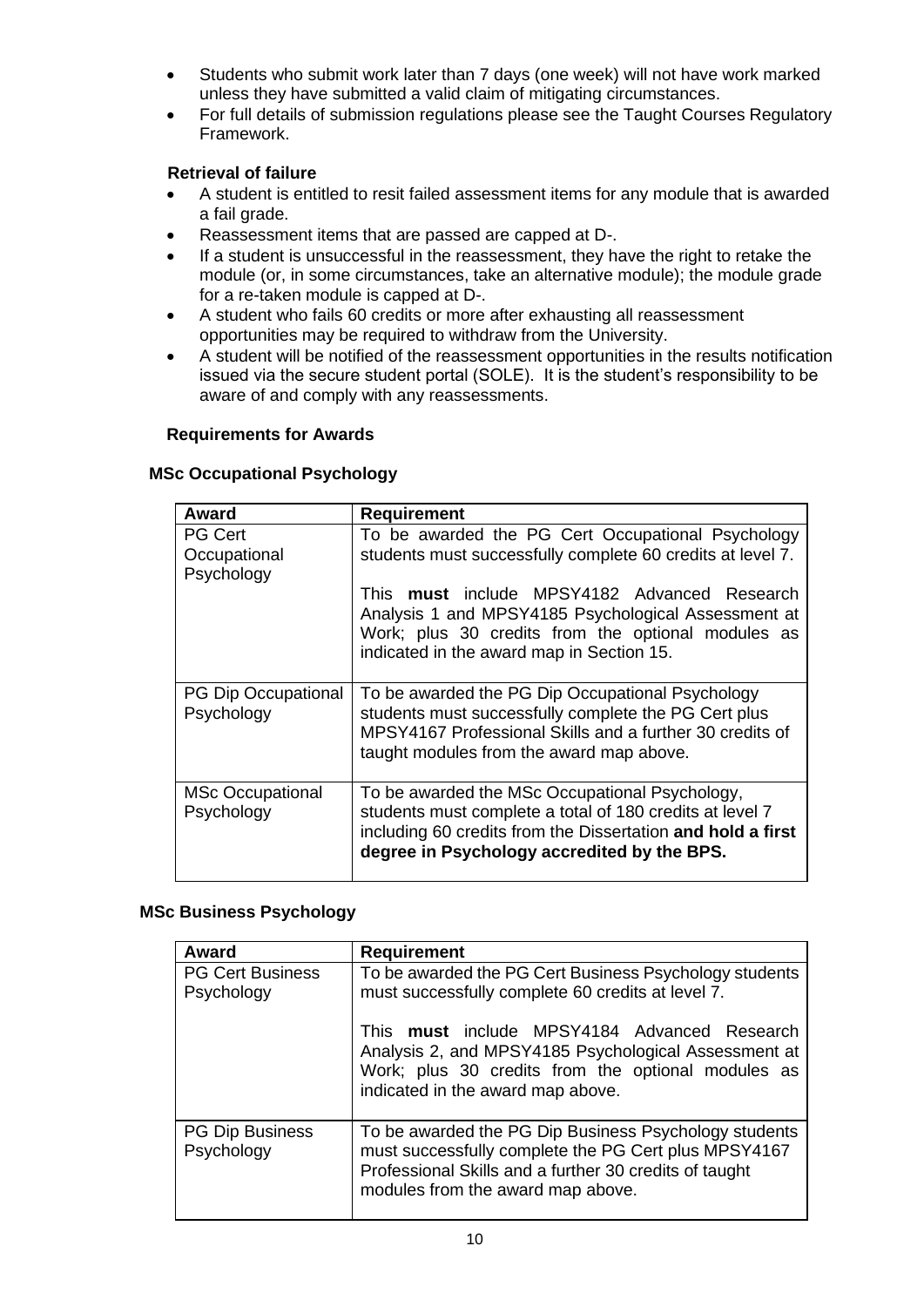- Students who submit work later than 7 days (one week) will not have work marked unless they have submitted a valid claim of mitigating circumstances.
- For full details of submission regulations please see the Taught Courses Regulatory Framework.

# **Retrieval of failure**

- A student is entitled to resit failed assessment items for any module that is awarded a fail grade.
- Reassessment items that are passed are capped at D-.
- If a student is unsuccessful in the reassessment, they have the right to retake the module (or, in some circumstances, take an alternative module); the module grade for a re-taken module is capped at D-.
- A student who fails 60 credits or more after exhausting all reassessment opportunities may be required to withdraw from the University.
- A student will be notified of the reassessment opportunities in the results notification issued via the secure student portal (SOLE). It is the student's responsibility to be aware of and comply with any reassessments.

# **Requirements for Awards**

| Award                                        | Requirement                                                                                                                                                                                                              |  |
|----------------------------------------------|--------------------------------------------------------------------------------------------------------------------------------------------------------------------------------------------------------------------------|--|
| <b>PG Cert</b><br>Occupational<br>Psychology | To be awarded the PG Cert Occupational Psychology<br>students must successfully complete 60 credits at level 7.                                                                                                          |  |
|                                              | This must include MPSY4182 Advanced Research<br>Analysis 1 and MPSY4185 Psychological Assessment at<br>Work; plus 30 credits from the optional modules as<br>indicated in the award map in Section 15.                   |  |
| <b>PG Dip Occupational</b><br>Psychology     | To be awarded the PG Dip Occupational Psychology<br>students must successfully complete the PG Cert plus<br>MPSY4167 Professional Skills and a further 30 credits of<br>taught modules from the award map above.         |  |
| <b>MSc Occupational</b><br>Psychology        | To be awarded the MSc Occupational Psychology,<br>students must complete a total of 180 credits at level 7<br>including 60 credits from the Dissertation and hold a first<br>degree in Psychology accredited by the BPS. |  |

## **MSc Occupational Psychology**

# **MSc Business Psychology**

| Award                                 | <b>Requirement</b>                                                                                                                                                                                           |  |
|---------------------------------------|--------------------------------------------------------------------------------------------------------------------------------------------------------------------------------------------------------------|--|
| <b>PG Cert Business</b><br>Psychology | To be awarded the PG Cert Business Psychology students<br>must successfully complete 60 credits at level 7.                                                                                                  |  |
|                                       | This must include MPSY4184 Advanced Research<br>Analysis 2, and MPSY4185 Psychological Assessment at<br>Work; plus 30 credits from the optional modules as<br>indicated in the award map above.              |  |
| <b>PG Dip Business</b><br>Psychology  | To be awarded the PG Dip Business Psychology students<br>must successfully complete the PG Cert plus MPSY4167<br>Professional Skills and a further 30 credits of taught<br>modules from the award map above. |  |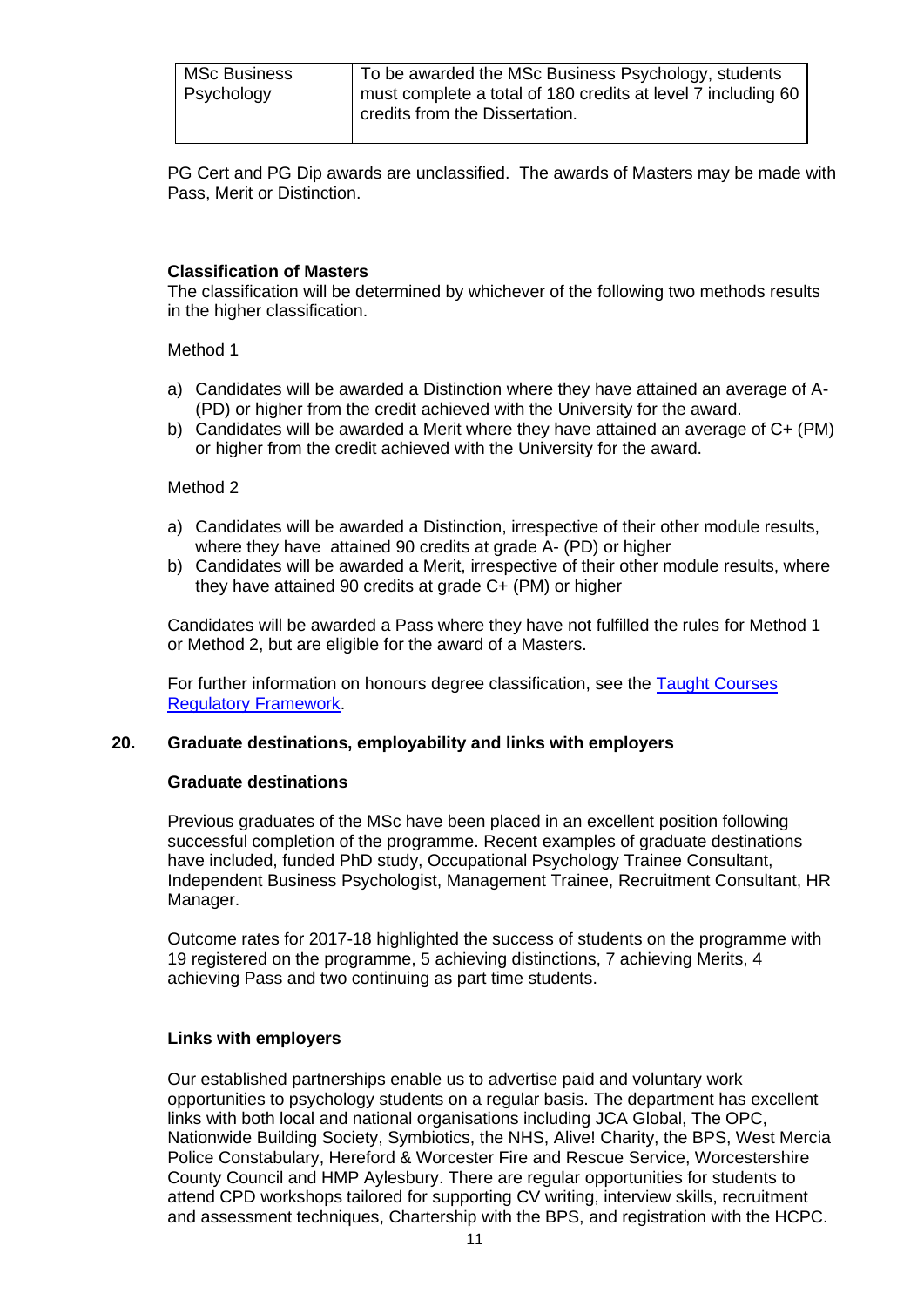| Psychology<br>credits from the Dissertation. | <b>MSc Business</b> | To be awarded the MSc Business Psychology, students<br>I must complete a total of 180 credits at level 7 including 60 |
|----------------------------------------------|---------------------|-----------------------------------------------------------------------------------------------------------------------|
|----------------------------------------------|---------------------|-----------------------------------------------------------------------------------------------------------------------|

PG Cert and PG Dip awards are unclassified. The awards of Masters may be made with Pass, Merit or Distinction.

# **Classification of Masters**

The classification will be determined by whichever of the following two methods results in the higher classification.

Method 1

- a) Candidates will be awarded a Distinction where they have attained an average of A- (PD) or higher from the credit achieved with the University for the award.
- b) Candidates will be awarded a Merit where they have attained an average of C+ (PM) or higher from the credit achieved with the University for the award.

## Method 2

- a) Candidates will be awarded a Distinction, irrespective of their other module results, where they have attained 90 credits at grade A- (PD) or higher
- b) Candidates will be awarded a Merit, irrespective of their other module results, where they have attained 90 credits at grade C+ (PM) or higher

Candidates will be awarded a Pass where they have not fulfilled the rules for Method 1 or Method 2, but are eligible for the award of a Masters.

For further information on honours degree classification, see the [Taught Courses](http://www.worcester.ac.uk/registryservices/documents/TaughtCoursesRegulatoryFramework.pdf)  [Regulatory Framework.](http://www.worcester.ac.uk/registryservices/documents/TaughtCoursesRegulatoryFramework.pdf)

# **20. Graduate destinations, employability and links with employers**

## **Graduate destinations**

Previous graduates of the MSc have been placed in an excellent position following successful completion of the programme. Recent examples of graduate destinations have included, funded PhD study, Occupational Psychology Trainee Consultant, Independent Business Psychologist, Management Trainee, Recruitment Consultant, HR Manager.

Outcome rates for 2017-18 highlighted the success of students on the programme with 19 registered on the programme, 5 achieving distinctions, 7 achieving Merits, 4 achieving Pass and two continuing as part time students.

## **Links with employers**

Our established partnerships enable us to advertise paid and voluntary work opportunities to psychology students on a regular basis. The department has excellent links with both local and national organisations including JCA Global, The OPC, Nationwide Building Society, Symbiotics, the NHS, Alive! Charity, the BPS, West Mercia Police Constabulary, Hereford & Worcester Fire and Rescue Service, Worcestershire County Council and HMP Aylesbury. There are regular opportunities for students to attend CPD workshops tailored for supporting CV writing, interview skills, recruitment and assessment techniques, Chartership with the BPS, and registration with the HCPC.